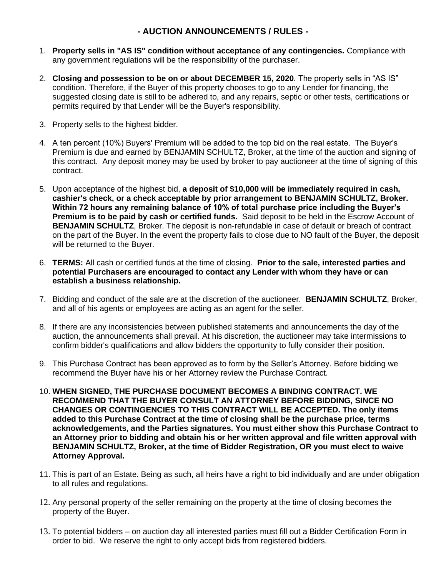## **- AUCTION ANNOUNCEMENTS / RULES -**

- 1. **Property sells in "AS IS" condition without acceptance of any contingencies.** Compliance with any government regulations will be the responsibility of the purchaser.
- 2. **Closing and possession to be on or about DECEMBER 15, 2020**. The property sells in "AS IS" condition. Therefore, if the Buyer of this property chooses to go to any Lender for financing, the suggested closing date is still to be adhered to, and any repairs, septic or other tests, certifications or permits required by that Lender will be the Buyer's responsibility.
- 3. Property sells to the highest bidder.
- 4. A ten percent (10%) Buyers' Premium will be added to the top bid on the real estate. The Buyer's Premium is due and earned by BENJAMIN SCHULTZ, Broker, at the time of the auction and signing of this contract. Any deposit money may be used by broker to pay auctioneer at the time of signing of this contract.
- 5. Upon acceptance of the highest bid, **a deposit of \$10,000 will be immediately required in cash, cashier's check, or a check acceptable by prior arrangement to BENJAMIN SCHULTZ, Broker. Within 72 hours any remaining balance of 10% of total purchase price including the Buyer's Premium is to be paid by cash or certified funds.** Said deposit to be held in the Escrow Account of **BENJAMIN SCHULTZ**, Broker. The deposit is non-refundable in case of default or breach of contract on the part of the Buyer. In the event the property fails to close due to NO fault of the Buyer, the deposit will be returned to the Buyer.
- 6. **TERMS:** All cash or certified funds at the time of closing. **Prior to the sale, interested parties and potential Purchasers are encouraged to contact any Lender with whom they have or can establish a business relationship.**
- 7. Bidding and conduct of the sale are at the discretion of the auctioneer. **BENJAMIN SCHULTZ**, Broker, and all of his agents or employees are acting as an agent for the seller.
- 8. If there are any inconsistencies between published statements and announcements the day of the auction, the announcements shall prevail. At his discretion, the auctioneer may take intermissions to confirm bidder's qualifications and allow bidders the opportunity to fully consider their position.
- 9. This Purchase Contract has been approved as to form by the Seller's Attorney. Before bidding we recommend the Buyer have his or her Attorney review the Purchase Contract.
- 10. **WHEN SIGNED, THE PURCHASE DOCUMENT BECOMES A BINDING CONTRACT. WE RECOMMEND THAT THE BUYER CONSULT AN ATTORNEY BEFORE BIDDING, SINCE NO CHANGES OR CONTINGENCIES TO THIS CONTRACT WILL BE ACCEPTED. The only items added to this Purchase Contract at the time of closing shall be the purchase price, terms acknowledgements, and the Parties signatures. You must either show this Purchase Contract to an Attorney prior to bidding and obtain his or her written approval and file written approval with BENJAMIN SCHULTZ, Broker, at the time of Bidder Registration, OR you must elect to waive Attorney Approval.**
- 11. This is part of an Estate. Being as such, all heirs have a right to bid individually and are under obligation to all rules and regulations.
- 12. Any personal property of the seller remaining on the property at the time of closing becomes the property of the Buyer.
- 13. To potential bidders on auction day all interested parties must fill out a Bidder Certification Form in order to bid. We reserve the right to only accept bids from registered bidders.